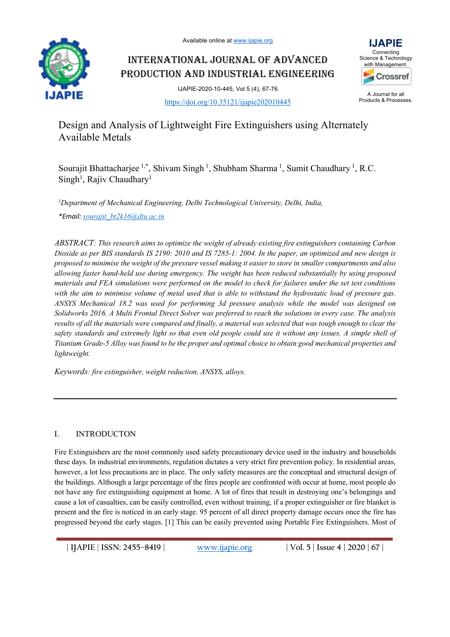

# INTERNATIONAL JOURNAL OF ADVANCED PRODUCTION AND INDUSTRIAL ENGINEERING



IJAPIE-2020-10-445, Vol 5 (4), 67-76 https://doi.org/10.35121/ijapie202010445

A Journal for all Products & Processes.

Design and Analysis of Lightweight Fire Extinguishers using Alternately Available Metals

Sourajit Bhattacharjee<sup>1,\*</sup>, Shivam Singh<sup>1</sup>, Shubham Sharma<sup>1</sup>, Sumit Chaudhary<sup>1</sup>, R.C. Singh<sup>1</sup>, Rajiv Chaudhary<sup>1</sup>

*1 Department of Mechanical Engineering, Delhi Technological University, Delhi, India, \*Email: sourajit\_bt2k16@dtu.ac.in*

*ABSTRACT: This research aims to optimize the weight of already existing fire extinguishers containing Carbon Dioxide as per BIS standards IS 2190: 2010 and IS 7285-1: 2004. In the paper, an optimized and new design is proposed to minimise the weight of the pressure vessel making it easier to store in smaller compartments and also allowing faster hand-held use during emergency. The weight has been reduced substantially by using proposed materials and FEA simulations were performed on the model to check for failures under the set test conditions*  with the aim to minimise volume of metal used that is able to withstand the hydrostatic load of pressure gas. *ANSYS Mechanical 18.2 was used for performing 3d pressure analysis while the model was designed on Solidworks 2016. A Multi Frontal Direct Solver was preferred to reach the solutions in every case. The analysis results of all the materials were compared and finally, a material was selected that was tough enough to clear the safety standards and extremely light so that even old people could use it without any issues. A simple shell of Titanium Grade-5 Alloy was found to be the proper and optimal choice to obtain good mechanical properties and lightweight.* 

*Keywords: fire extinguisher, weight reduction, ANSYS, alloys.*

## I. INTRODUCTON

Fire Extinguishers are the most commonly used safety precautionary device used in the industry and households these days. In industrial environments, regulation dictates a very strict fire prevention policy. In residential areas, however, a lot less precautions are in place. The only safety measures are the conceptual and structural design of the buildings. Although a large percentage of the fires people are confronted with occur at home, most people do not have any fire extinguishing equipment at home. A lot of fires that result in destroying one's belongings and cause a lot of casualties, can be easily controlled, even without training, if a proper extinguisher or fire blanket is present and the fire is noticed in an early stage. 95 percent of all direct property damage occurs once the fire has progressed beyond the early stages. [1] This can be easily prevented using Portable Fire Extinguishers. Most of

**| IJAPIE** | **ISSN: 2455–8419 | www.ijapie.org | Vol. 5 | Issue 4 | 2020 | 67 |**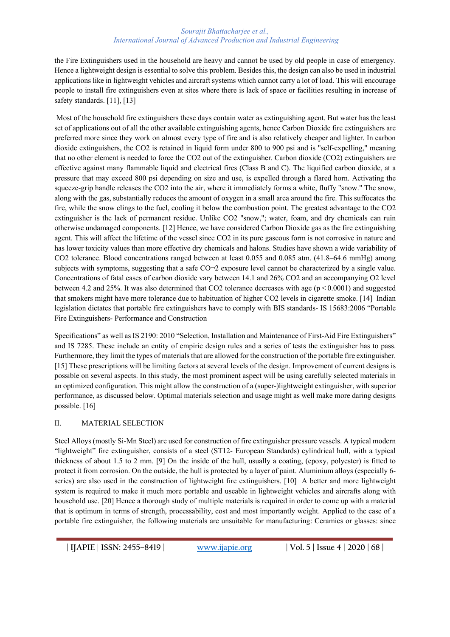#### *Sourajit Bhattacharjee et al., International Journal of Advanced Production and Industrial Engineering*

the Fire Extinguishers used in the household are heavy and cannot be used by old people in case of emergency. Hence a lightweight design is essential to solve this problem. Besides this, the design can also be used in industrial applications like in lightweight vehicles and aircraft systems which cannot carry a lot of load. This will encourage people to install fire extinguishers even at sites where there is lack of space or facilities resulting in increase of safety standards. [11], [13]

Most of the household fire extinguishers these days contain water as extinguishing agent. But water has the least set of applications out of all the other available extinguishing agents, hence Carbon Dioxide fire extinguishers are preferred more since they work on almost every type of fire and is also relatively cheaper and lighter. In carbon dioxide extinguishers, the CO2 is retained in liquid form under 800 to 900 psi and is "self-expelling," meaning that no other element is needed to force the CO2 out of the extinguisher. Carbon dioxide (CO2) extinguishers are effective against many flammable liquid and electrical fires (Class B and C). The liquified carbon dioxide, at a pressure that may exceed 800 psi depending on size and use, is expelled through a flared horn. Activating the squeeze-grip handle releases the CO2 into the air, where it immediately forms a white, fluffy "snow." The snow, along with the gas, substantially reduces the amount of oxygen in a small area around the fire. This suffocates the fire, while the snow clings to the fuel, cooling it below the combustion point. The greatest advantage to the CO2 extinguisher is the lack of permanent residue. Unlike CO2 "snow,"; water, foam, and dry chemicals can ruin otherwise undamaged components. [12] Hence, we have considered Carbon Dioxide gas as the fire extinguishing agent. This will affect the lifetime of the vessel since CO2 in its pure gaseous form is not corrosive in nature and has lower toxicity values than more effective dry chemicals and halons. Studies have shown a wide variability of CO2 tolerance. Blood concentrations ranged between at least 0.055 and 0.085 atm. (41.8–64.6 mmHg) among subjects with symptoms, suggesting that a safe CO $\sim$ 2 exposure level cannot be characterized by a single value. Concentrations of fatal cases of carbon dioxide vary between 14.1 and 26% CO2 and an accompanying O2 level between 4.2 and 25%. It was also determined that CO2 tolerance decreases with age ( $p < 0.0001$ ) and suggested that smokers might have more tolerance due to habituation of higher CO2 levels in cigarette smoke. [14] Indian legislation dictates that portable fire extinguishers have to comply with BIS standards- IS 15683:2006 "Portable Fire Extinguishers- Performance and Construction

Specifications" as well as IS 2190: 2010 "Selection, Installation and Maintenance of First-Aid Fire Extinguishers" and IS 7285. These include an entity of empiric design rules and a series of tests the extinguisher has to pass. Furthermore, they limit the types of materials that are allowed for the construction of the portable fire extinguisher. [15] These prescriptions will be limiting factors at several levels of the design. Improvement of current designs is possible on several aspects. In this study, the most prominent aspect will be using carefully selected materials in an optimized configuration. This might allow the construction of a (super-)lightweight extinguisher, with superior performance, as discussed below. Optimal materials selection and usage might as well make more daring designs possible. [16]

## II. MATERIAL SELECTION

Steel Alloys (mostly Si-Mn Steel) are used for construction of fire extinguisher pressure vessels. A typical modern "lightweight" fire extinguisher, consists of a steel (ST12- European Standards) cylindrical hull, with a typical thickness of about 1.5 to 2 mm. [9] On the inside of the hull, usually a coating, (epoxy, polyester) is fitted to protect it from corrosion. On the outside, the hull is protected by a layer of paint. Aluminium alloys (especially 6 series) are also used in the construction of lightweight fire extinguishers. [10] A better and more lightweight system is required to make it much more portable and useable in lightweight vehicles and aircrafts along with household use. [20] Hence a thorough study of multiple materials is required in order to come up with a material that is optimum in terms of strength, processability, cost and most importantly weight. Applied to the case of a portable fire extinguisher, the following materials are unsuitable for manufacturing: Ceramics or glasses: since

**| IJAPIE** | **ISSN: 2455–8419 | www.ijapie.org | Vol. 5 | Issue 4 | 2020 | 68 |**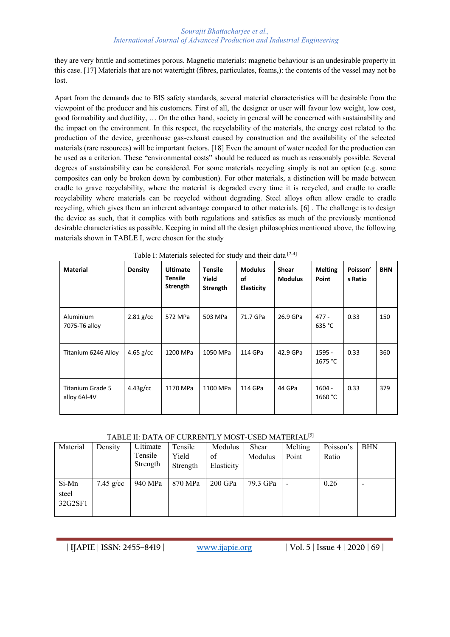they are very brittle and sometimes porous. Magnetic materials: magnetic behaviour is an undesirable property in this case. [17] Materials that are not watertight (fibres, particulates, foams,): the contents of the vessel may not be lost.

Apart from the demands due to BIS safety standards, several material characteristics will be desirable from the viewpoint of the producer and his customers. First of all, the designer or user will favour low weight, low cost, good formability and ductility, … On the other hand, society in general will be concerned with sustainability and the impact on the environment. In this respect, the recyclability of the materials, the energy cost related to the production of the device, greenhouse gas-exhaust caused by construction and the availability of the selected materials (rare resources) will be important factors. [18] Even the amount of water needed for the production can be used as a criterion. These "environmental costs" should be reduced as much as reasonably possible. Several degrees of sustainability can be considered. For some materials recycling simply is not an option (e.g. some composites can only be broken down by combustion). For other materials, a distinction will be made between cradle to grave recyclability, where the material is degraded every time it is recycled, and cradle to cradle recyclability where materials can be recycled without degrading. Steel alloys often allow cradle to cradle recycling, which gives them an inherent advantage compared to other materials. [6] . The challenge is to design the device as such, that it complies with both regulations and satisfies as much of the previously mentioned desirable characteristics as possible. Keeping in mind all the design philosophies mentioned above, the following materials shown in TABLE I, were chosen for the study

| <b>Material</b>                         | <b>Density</b> | <b>Ultimate</b><br>Tensile<br>Strength | <b>Tensile</b><br>Yield<br>Strength | <b>Modulus</b><br>οf<br>Elasticity | <b>Shear</b><br><b>Modulus</b> | <b>Melting</b><br>Point | Poisson'<br>s Ratio | <b>BHN</b> |
|-----------------------------------------|----------------|----------------------------------------|-------------------------------------|------------------------------------|--------------------------------|-------------------------|---------------------|------------|
| Aluminium<br>7075-T6 alloy              | $2.81$ g/cc    | 572 MPa                                | 503 MPa                             | 71.7 GPa                           | 26.9 GPa                       | $477 -$<br>635 °C       | 0.33                | 150        |
| Titanium 6246 Alloy                     | $4.65$ g/cc    | 1200 MPa                               | 1050 MPa                            | 114 GPa                            | 42.9 GPa                       | 1595 -<br>1675 °C       | 0.33                | 360        |
| <b>Titanium Grade 5</b><br>alloy 6Al-4V | $4.43g$ /cc    | 1170 MPa                               | 1100 MPa                            | 114 GPa                            | 44 GPa                         | $1604 -$<br>1660 °C     | 0.33                | 379        |

Table I: Materials selected for study and their data [2-4]

## TABLE II: DATA OF CURRENTLY MOST-USED MATERIAL<sup>[5]</sup>

| Material                  | Density     | Ultimate<br>Tensile<br>Strength | Tensile<br>Yield<br>Strength | Modulus<br>of<br>Elasticity | Shear<br>Modulus | Melting<br>Point | Poisson's<br>Ratio | <b>BHN</b> |
|---------------------------|-------------|---------------------------------|------------------------------|-----------------------------|------------------|------------------|--------------------|------------|
| Si-Mn<br>steel<br>32G2SF1 | $7.45$ g/cc | 940 MPa                         | 870 MPa                      | 200 GPa                     | 79.3 GPa         |                  | 0.26               |            |

**| IJAPIE** | **ISSN: 2455–8419 | www.ijapie.org | Vol. 5 | Issue 4 | 2020 | 69 |**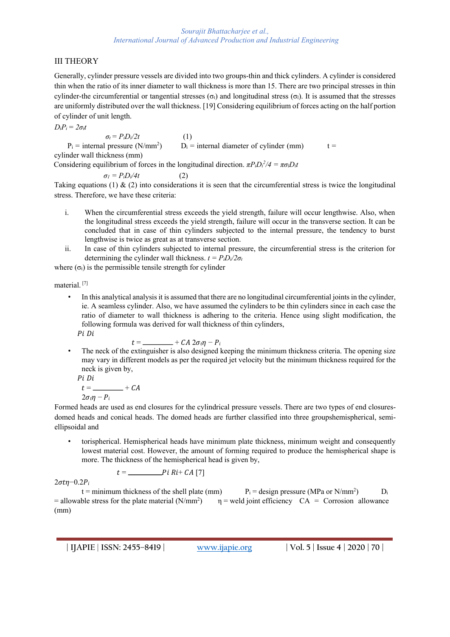# III THEORY

Generally, cylinder pressure vessels are divided into two groups-thin and thick cylinders. A cylinder is considered thin when the ratio of its inner diameter to wall thickness is more than 15. There are two principal stresses in thin cylinder-the circumferential or tangential stresses  $(\sigma_t)$  and longitudinal stress  $(\sigma_l)$ . It is assumed that the stresses are uniformly distributed over the wall thickness. [19] Considering equilibrium of forces acting on the half portion of cylinder of unit length.

$$
D_iP_i=2\sigma_t t
$$

 $\sigma_t = P_i D_i / 2t$  (1)  $P_i$  = internal pressure (N/mm<sup>2</sup>)  $D_i$  = internal diameter of cylinder (mm) t = cylinder wall thickness (mm) Considering equilibrium of forces in the longitudinal direction.  $\pi P_i D_i^2/4 = \pi \sigma_i D_i t$ 

 $\sigma_l = P_i D_i / 4t$  (2)

Taking equations (1)  $\&$  (2) into considerations it is seen that the circumferential stress is twice the longitudinal stress. Therefore, we have these criteria:

- i. When the circumferential stress exceeds the yield strength, failure will occur lengthwise. Also, when the longitudinal stress exceeds the yield strength, failure will occur in the transverse section. It can be concluded that in case of thin cylinders subjected to the internal pressure, the tendency to burst lengthwise is twice as great as at transverse section.
- ii. In case of thin cylinders subjected to internal pressure, the circumferential stress is the criterion for determining the cylinder wall thickness.  $t = P_i D_i / 2\sigma_t$

where  $(\sigma_t)$  is the permissible tensile strength for cylinder

material. [7]

• In this analytical analysis it is assumed that there are no longitudinal circumferential joints in the cylinder, ie. A seamless cylinder. Also, we have assumed the cylinders to be thin cylinders since in each case the ratio of diameter to wall thickness is adhering to the criteria. Hence using slight modification, the following formula was derived for wall thickness of thin cylinders, Pi Di

$$
t = \underline{\hspace{1cm}} + CA \; 2\sigma_t \eta - P_i
$$

The neck of the extinguisher is also designed keeping the minimum thickness criteria. The opening size may vary in different models as per the required jet velocity but the minimum thickness required for the neck is given by,  $\overline{P}$ 

$$
\begin{aligned} i \, \, Di \\ t &= \underline{\hspace{2cm}} + CA \\ 2\sigma_t \eta - P_i \end{aligned}
$$

Formed heads are used as end closures for the cylindrical pressure vessels. There are two types of end closuresdomed heads and conical heads. The domed heads are further classified into three groupshemispherical, semiellipsoidal and

• torispherical. Hemispherical heads have minimum plate thickness, minimum weight and consequently lowest material cost. However, the amount of forming required to produce the hemispherical shape is more. The thickness of the hemispherical head is given by,

$$
t =
$$
 \_\_\_\_\_\_\_\_\_\_*Pi Ri+ CA* [7]

 $2\sigma t\eta$ -0.2 $P_i$ 

t = minimum thickness of the shell plate (mm)  $P_i =$  design pressure (MPa or N/mm<sup>2</sup>)  $\mathbf{D}$ :  $=$  allowable stress for the plate material (N/mm<sup>2</sup>)  $\eta$  = weld joint efficiency  $CA =$  Corrosion allowance (mm)

**| IJAPIE** | **ISSN: 2455–8419 | www.ijapie.org | Vol. 5 | Issue 4 | 2020 | 70 |**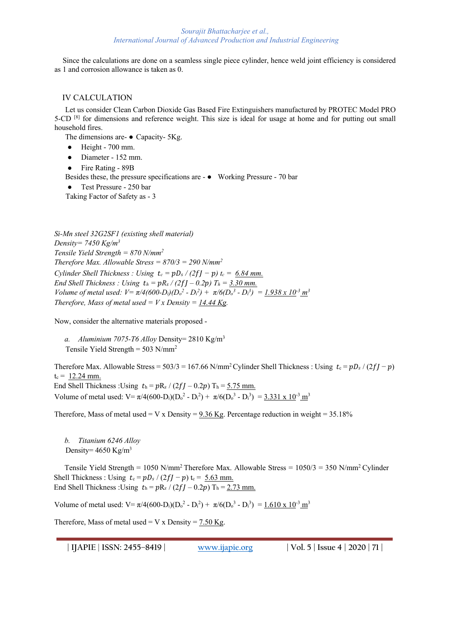Since the calculations are done on a seamless single piece cylinder, hence weld joint efficiency is considered as 1 and corrosion allowance is taken as 0.

#### IV CALCULATION

Let us consider Clean Carbon Dioxide Gas Based Fire Extinguishers manufactured by PROTEC Model PRO 5-CD [8] for dimensions and reference weight. This size is ideal for usage at home and for putting out small household fires.

The dimensions are- ● Capacity- 5Kg.

- Height 700 mm.
- Diameter 152 mm.
- Fire Rating 89B

Besides these, the pressure specifications are - ● Working Pressure - 70 bar

● Test Pressure - 250 bar

Taking Factor of Safety as - 3

*Si-Mn steel 32G2SF1 (existing shell material) Density= 7450 Kg/m3 Tensile Yield Strength = 870 N/mm2 Therefore Max. Allowable Stress = 870/3 = 290 N/mm2 Cylinder Shell Thickness : Using*  $t_c = pD_s/(2fJ - p) t_c = 6.84$  *mm. End Shell Thickness : Using*  $t_h = pR_s / (2fJ - 0.2p)$   $T_h = 3.30$  mm. *Volume of metal used:*  $V = \pi/4(600-D_i)(D_o^2 - D_i^2) + \pi/6(D_o^3 - D_i^3) = 1.938 \times 10^{-3}$   $m^3$ *Therefore, Mass of metal used =*  $Vx$  *Density = 14.44 Kg.* 

Now, consider the alternative materials proposed -

*a. Aluminium 7075-T6 Alloy* Density= 2810 Kg/m3 Tensile Yield Strength =  $503$  N/mm<sup>2</sup>

Therefore Max. Allowable Stress =  $503/3 = 167.66$  N/mm<sup>2</sup> Cylinder Shell Thickness : Using  $t_c = pD_s/(2f - p)$  $t_c = 12.24$  mm. End Shell Thickness : Using  $t_h = pR_s / (2fI - 0.2p)$  T<sub>h</sub> = 5.75 mm.

Volume of metal used:  $V = \pi/4(600-D_i)(D_o^2 - D_i^2) + \pi/6(D_o^3 - D_i^3) = 3.331 \times 10^{-3} \text{ m}^3$ 

Therefore, Mass of metal used = V x Density = 9.36 Kg. Percentage reduction in weight =  $35.18\%$ 

*b. Titanium 6246 Alloy* Density=  $4650$  Kg/m<sup>3</sup>

Tensile Yield Strength = 1050 N/mm<sup>2</sup> Therefore Max. Allowable Stress =  $1050/3 = 350$  N/mm<sup>2</sup> Cylinder Shell Thickness : Using  $t_c = pD_s/(2fI - p)t_c = 5.63$  mm. End Shell Thickness :Using  $t_h = pR_s / (2fI - 0.2p) T_h = 2.73$  mm.

Volume of metal used:  $V = \pi/4(600-D_i)(D_o^2 - D_i^2) + \pi/6(D_o^3 - D_i^3) = 1.610 \times 10^{-3} \text{ m}^3$ 

Therefore, Mass of metal used = V x Density =  $7.50$  Kg.

**| IJAPIE** | **ISSN: 2455–8419 | www.ijapie.org | Vol. 5 | Issue 4 | 2020 | 71 |**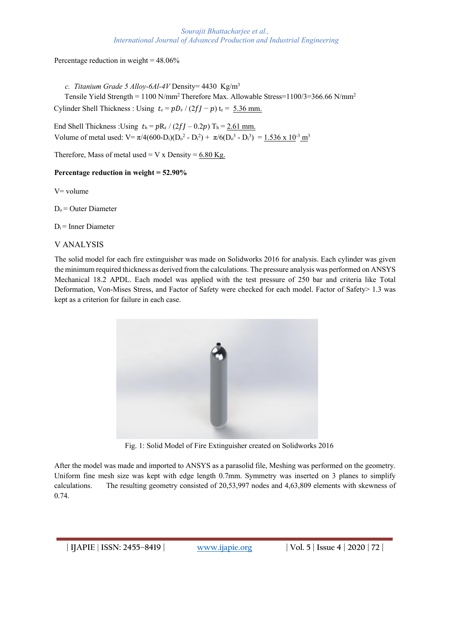#### *Sourajit Bhattacharjee et al., International Journal of Advanced Production and Industrial Engineering*

Percentage reduction in weight = 48.06%

*c. Titanium Grade 5 Alloy-6Al-4V* Density= 4430 Kg/m3 Tensile Yield Strength = 1100 N/mm<sup>2</sup> Therefore Max. Allowable Stress=1100/3=366.66 N/mm<sup>2</sup> Cylinder Shell Thickness : Using  $t_c = pD_s/(2ff - p) t_c = 5.36$  mm.

End Shell Thickness : Using  $t_h = pR_s / (2fJ - 0.2p)$  T<sub>h</sub> = 2.61 mm. Volume of metal used:  $V = \pi/4(600-D_i)(D_o^2 - D_i^2) + \pi/6(D_o^3 - D_i^3) = 1.536 \times 10^{-3} \text{ m}^3$ 

Therefore, Mass of metal used = V x Density =  $6.80$  Kg.

#### **Percentage reduction in weight = 52.90%**

V= volume

 $D<sub>o</sub>$  = Outer Diameter

 $D_i$  = Inner Diameter

#### V ANALYSIS

The solid model for each fire extinguisher was made on Solidworks 2016 for analysis. Each cylinder was given the minimum required thickness as derived from the calculations. The pressure analysis was performed on ANSYS Mechanical 18.2 APDL. Each model was applied with the test pressure of 250 bar and criteria like Total Deformation, Von-Mises Stress, and Factor of Safety were checked for each model. Factor of Safety> 1.3 was kept as a criterion for failure in each case.



Fig. 1: Solid Model of Fire Extinguisher created on Solidworks 2016

After the model was made and imported to ANSYS as a parasolid file, Meshing was performed on the geometry. Uniform fine mesh size was kept with edge length 0.7mm. Symmetry was inserted on 3 planes to simplify calculations. The resulting geometry consisted of 20,53,997 nodes and 4,63,809 elements with skewness of 0.74.

**| IJAPIE** | **ISSN: 2455–8419 | www.ijapie.org | Vol. 5 | Issue 4 | 2020 | 72 |**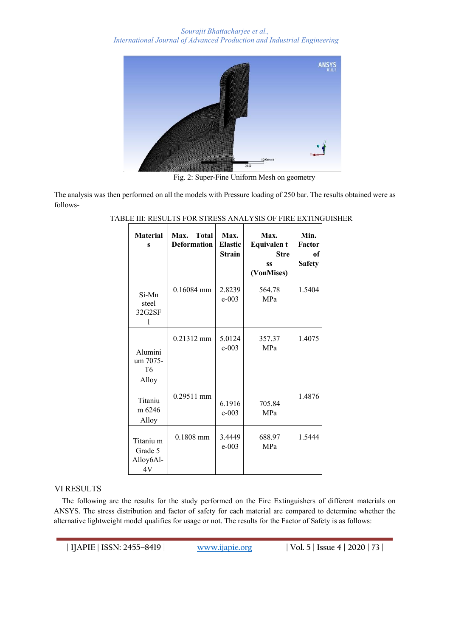

Fig. 2: Super-Fine Uniform Mesh on geometry

The analysis was then performed on all the models with Pressure loading of 250 bar. The results obtained were as follows-

| <b>Material</b><br>S                               | <b>Total</b><br>Max.<br><b>Deformation</b> | Max.<br><b>Elastic</b><br><b>Strain</b> | Max.<br><b>Equivalent</b><br><b>Stre</b><br>SS<br>(VonMises) | Min.<br>Factor<br>of<br><b>Safety</b> |
|----------------------------------------------------|--------------------------------------------|-----------------------------------------|--------------------------------------------------------------|---------------------------------------|
| Si-Mn<br>steel<br>32G2SF<br>1                      | $0.16084$ mm                               | 2.8239<br>$e - 003$                     | 564.78<br>MPa                                                | 1.5404                                |
| Alumini<br>um 7075-<br>T6<br>Alloy                 | $0.21312$ mm                               | 5.0124<br>$e - 003$                     | 357.37<br><b>MPa</b>                                         | 1.4075                                |
| Titaniu<br>m 6246<br>Alloy                         | $0.29511$ mm                               | 6.1916<br>$e - 003$                     | 705.84<br>MPa                                                | 1.4876                                |
| Titaniu <sub>m</sub><br>Grade 5<br>Alloy6Al-<br>4V | $0.1808$ mm                                | 3.4449<br>$e - 003$                     | 688.97<br>MPa                                                | 1.5444                                |

## TABLE III: RESULTS FOR STRESS ANALYSIS OF FIRE EXTINGUISHER

#### VI RESULTS

The following are the results for the study performed on the Fire Extinguishers of different materials on ANSYS. The stress distribution and factor of safety for each material are compared to determine whether the alternative lightweight model qualifies for usage or not. The results for the Factor of Safety is as follows:

**| IJAPIE** | **ISSN: 2455–8419 | www.ijapie.org | Vol. 5 | Issue 4 | 2020 | 73 |**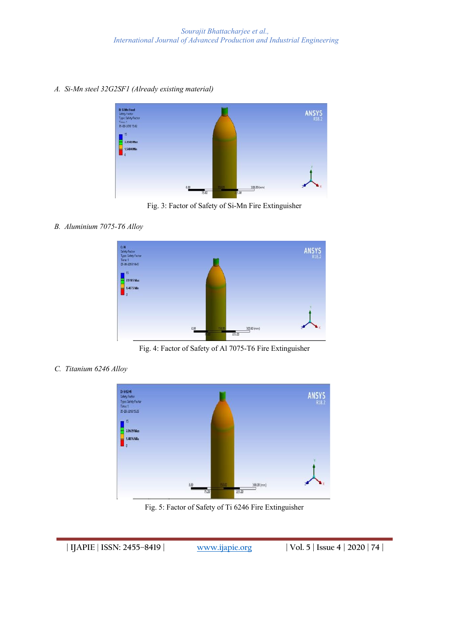*A. Si-Mn steel 32G2SF1 (Already existing material)*



Fig. 3: Factor of Safety of Si-Mn Fire Extinguisher

*B. Aluminium 7075-T6 Alloy*



Fig. 4: Factor of Safety of Al 7075-T6 Fire Extinguisher

*C. Titanium 6246 Alloy*



Fig. 5: Factor of Safety of Ti 6246 Fire Extinguisher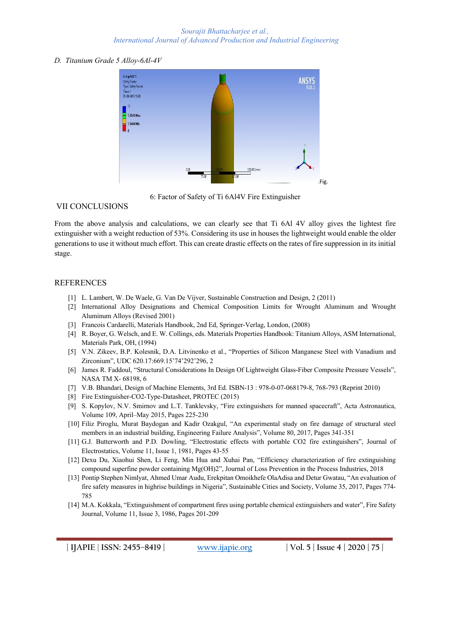#### *D. Titanium Grade 5 Alloy-6Al-4V*



6: Factor of Safety of Ti 6Al4V Fire Extinguisher

## VII CONCLUSIONS

From the above analysis and calculations, we can clearly see that Ti 6Al 4V alloy gives the lightest fire extinguisher with a weight reduction of 53%. Considering its use in houses the lightweight would enable the older generations to use it without much effort. This can create drastic effects on the rates of fire suppression in its initial stage.

## **REFERENCES**

- [1] L. Lambert, W. De Waele, G. Van De Vijver, Sustainable Construction and Design, 2 (2011)
- [2] International Alloy Designations and Chemical Composition Limits for Wrought Aluminum and Wrought Aluminum Alloys (Revised 2001)
- [3] Francois Cardarelli, Materials Handbook, 2nd Ed, Springer-Verlag, London, (2008)
- [4] R. Boyer, G. Welsch, and E. W. Collings, eds. Materials Properties Handbook: Titanium Alloys, ASM International, Materials Park, OH, (1994)
- [5] V.N. Zikeev, B.P. Kolesnik, D.A. Litvinenko et al., "Properties of Silicon Manganese Steel with Vanadium and Zirconium", UDC 620.17:669.15'74'292'296, 2
- [6] James R. Faddoul, "Structural Considerations In Design Of Lightweight Glass-Fiber Composite Pressure Vessels", NASA TM X- 68198, 6
- [7] V.B. Bhandari, Design of Machine Elements, 3rd Ed. ISBN-13 : 978-0-07-068179-8, 768-793 (Reprint 2010)
- [8] Fire Extinguisher-CO2-Type-Datasheet, PROTEC (2015)
- [9] S. Kopylov, N.V. Smirnov and L.T. Tanklevsky, "Fire extinguishers for manned spacecraft", Acta Astronautica, Volume 109, April–May 2015, Pages 225-230
- [10] Filiz Piroglu, Murat Baydogan and Kadir Ozakgul, "An experimental study on fire damage of structural steel members in an industrial building, Engineering Failure Analysis", Volume 80, 2017, Pages 341-351
- [11] G.J. Butterworth and P.D. Dowling, "Electrostatic effects with portable CO2 fire extinguishers", Journal of Electrostatics, Volume 11, Issue 1, 1981, Pages 43-55
- [12] Dexu Du, Xiaohui Shen, Li Feng, Min Hua and Xuhai Pan, "Efficiency characterization of fire extinguishing compound superfine powder containing Mg(OH)2", Journal of Loss Prevention in the Process Industries, 2018
- [13] Pontip Stephen Nimlyat, Ahmed Umar Audu, Erekpitan Omoikhefe OlaAdisa and Detur Gwatau, "An evaluation of fire safety measures in highrise buildings in Nigeria", Sustainable Cities and Society, Volume 35, 2017, Pages 774- 785
- [14] M.A. Kokkala, "Extinguishment of compartment fires using portable chemical extinguishers and water", Fire Safety Journal, Volume 11, Issue 3, 1986, Pages 201-209

**| IJAPIE** | **ISSN: 2455–8419 | www.ijapie.org | Vol. 5 | Issue 4 | 2020 | 75 |**